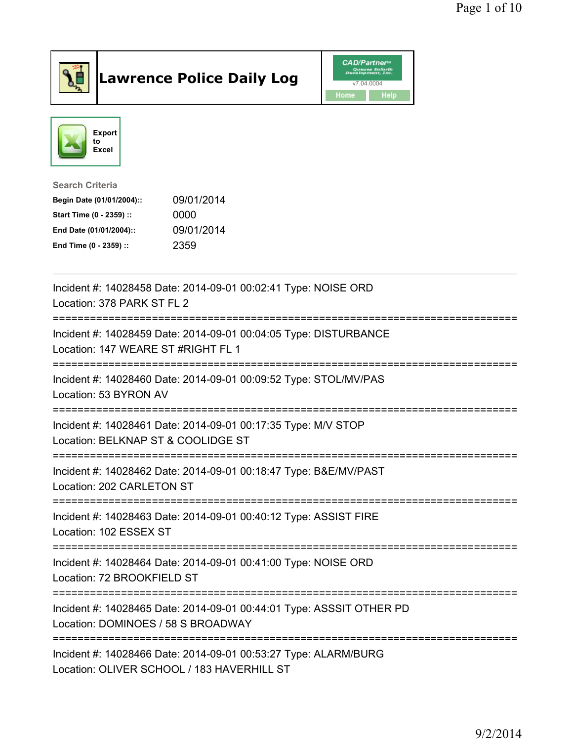

## Lawrence Police Daily Log **Daniel CAD/Partner**





Search Criteria Begin Date (01/01/2004):: 09/01/2014 Start Time (0 - 2359) :: 0000 End Date (01/01/2004):: 09/01/2014 End Time (0 - 2359) :: 2359

| Incident #: 14028458 Date: 2014-09-01 00:02:41 Type: NOISE ORD<br>Location: 378 PARK ST FL 2                                   |
|--------------------------------------------------------------------------------------------------------------------------------|
| Incident #: 14028459 Date: 2014-09-01 00:04:05 Type: DISTURBANCE<br>Location: 147 WEARE ST #RIGHT FL 1                         |
| Incident #: 14028460 Date: 2014-09-01 00:09:52 Type: STOL/MV/PAS<br>Location: 53 BYRON AV                                      |
| Incident #: 14028461 Date: 2014-09-01 00:17:35 Type: M/V STOP<br>Location: BELKNAP ST & COOLIDGE ST                            |
| Incident #: 14028462 Date: 2014-09-01 00:18:47 Type: B&E/MV/PAST<br>Location: 202 CARLETON ST                                  |
| Incident #: 14028463 Date: 2014-09-01 00:40:12 Type: ASSIST FIRE<br>Location: 102 ESSEX ST                                     |
| Incident #: 14028464 Date: 2014-09-01 00:41:00 Type: NOISE ORD<br>Location: 72 BROOKFIELD ST                                   |
| Incident #: 14028465 Date: 2014-09-01 00:44:01 Type: ASSSIT OTHER PD<br>Location: DOMINOES / 58 S BROADWAY<br>---------------- |
| Incident #: 14028466 Date: 2014-09-01 00:53:27 Type: ALARM/BURG<br>Location: OLIVER SCHOOL / 183 HAVERHILL ST                  |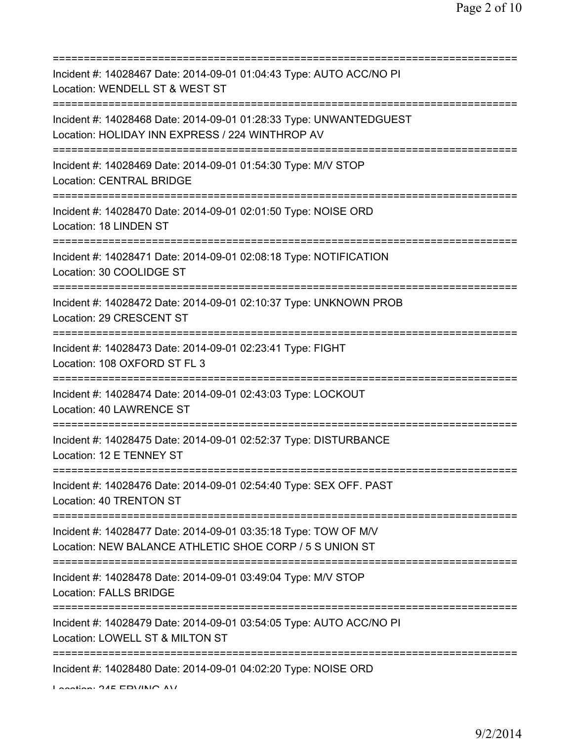=========================================================================== Incident #: 14028467 Date: 2014-09-01 01:04:43 Type: AUTO ACC/NO PI Location: WENDELL ST & WEST ST =========================================================================== Incident #: 14028468 Date: 2014-09-01 01:28:33 Type: UNWANTEDGUEST Location: HOLIDAY INN EXPRESS / 224 WINTHROP AV =========================================================================== Incident #: 14028469 Date: 2014-09-01 01:54:30 Type: M/V STOP Location: CENTRAL BRIDGE =========================================================================== Incident #: 14028470 Date: 2014-09-01 02:01:50 Type: NOISE ORD Location: 18 LINDEN ST =========================================================================== Incident #: 14028471 Date: 2014-09-01 02:08:18 Type: NOTIFICATION Location: 30 COOLIDGE ST =========================================================================== Incident #: 14028472 Date: 2014-09-01 02:10:37 Type: UNKNOWN PROB Location: 29 CRESCENT ST =========================================================================== Incident #: 14028473 Date: 2014-09-01 02:23:41 Type: FIGHT Location: 108 OXFORD ST FL 3 =========================================================================== Incident #: 14028474 Date: 2014-09-01 02:43:03 Type: LOCKOUT Location: 40 LAWRENCE ST =========================================================================== Incident #: 14028475 Date: 2014-09-01 02:52:37 Type: DISTURBANCE Location: 12 E TENNEY ST =========================================================================== Incident #: 14028476 Date: 2014-09-01 02:54:40 Type: SEX OFF. PAST Location: 40 TRENTON ST =========================================================================== Incident #: 14028477 Date: 2014-09-01 03:35:18 Type: TOW OF M/V Location: NEW BALANCE ATHLETIC SHOE CORP / 5 S UNION ST =========================================================================== Incident #: 14028478 Date: 2014-09-01 03:49:04 Type: M/V STOP Location: FALLS BRIDGE =========================================================================== Incident #: 14028479 Date: 2014-09-01 03:54:05 Type: AUTO ACC/NO PI Location: LOWELL ST & MILTON ST =========================================================================== Incident #: 14028480 Date: 2014-09-01 04:02:20 Type: NOISE ORD

Location: 245 EDVING AV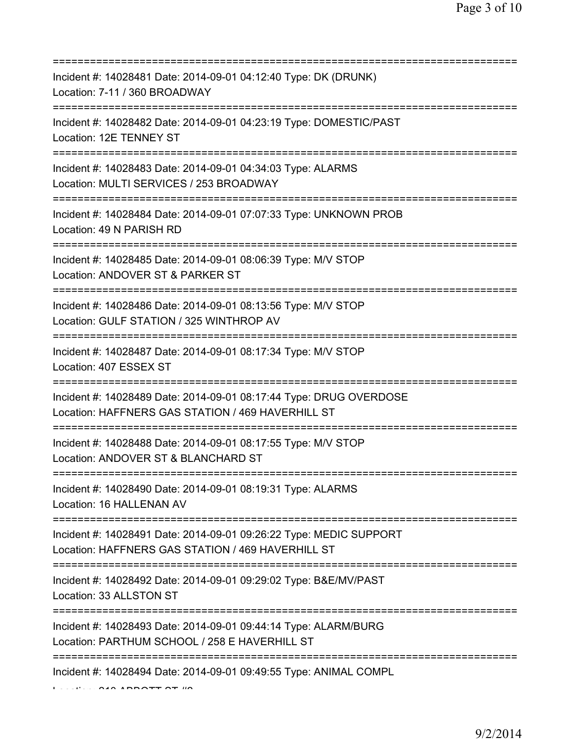| Incident #: 14028481 Date: 2014-09-01 04:12:40 Type: DK (DRUNK)<br>Location: 7-11 / 360 BROADWAY<br>==========================   |
|----------------------------------------------------------------------------------------------------------------------------------|
| Incident #: 14028482 Date: 2014-09-01 04:23:19 Type: DOMESTIC/PAST<br>Location: 12E TENNEY ST                                    |
| Incident #: 14028483 Date: 2014-09-01 04:34:03 Type: ALARMS<br>Location: MULTI SERVICES / 253 BROADWAY                           |
| Incident #: 14028484 Date: 2014-09-01 07:07:33 Type: UNKNOWN PROB<br>Location: 49 N PARISH RD<br>=============================== |
| Incident #: 14028485 Date: 2014-09-01 08:06:39 Type: M/V STOP<br>Location: ANDOVER ST & PARKER ST<br>.=====================      |
| Incident #: 14028486 Date: 2014-09-01 08:13:56 Type: M/V STOP<br>Location: GULF STATION / 325 WINTHROP AV                        |
| Incident #: 14028487 Date: 2014-09-01 08:17:34 Type: M/V STOP<br>Location: 407 ESSEX ST                                          |
| Incident #: 14028489 Date: 2014-09-01 08:17:44 Type: DRUG OVERDOSE<br>Location: HAFFNERS GAS STATION / 469 HAVERHILL ST          |
| Incident #: 14028488 Date: 2014-09-01 08:17:55 Type: M/V STOP<br>Location: ANDOVER ST & BLANCHARD ST                             |
| Incident #: 14028490 Date: 2014-09-01 08:19:31 Type: ALARMS<br>Location: 16 HALLENAN AV                                          |
| Incident #: 14028491 Date: 2014-09-01 09:26:22 Type: MEDIC SUPPORT<br>Location: HAFFNERS GAS STATION / 469 HAVERHILL ST          |
| Incident #: 14028492 Date: 2014-09-01 09:29:02 Type: B&E/MV/PAST<br>Location: 33 ALLSTON ST                                      |
| Incident #: 14028493 Date: 2014-09-01 09:44:14 Type: ALARM/BURG<br>Location: PARTHUM SCHOOL / 258 E HAVERHILL ST                 |
| Incident #: 14028494 Date: 2014-09-01 09:49:55 Type: ANIMAL COMPL                                                                |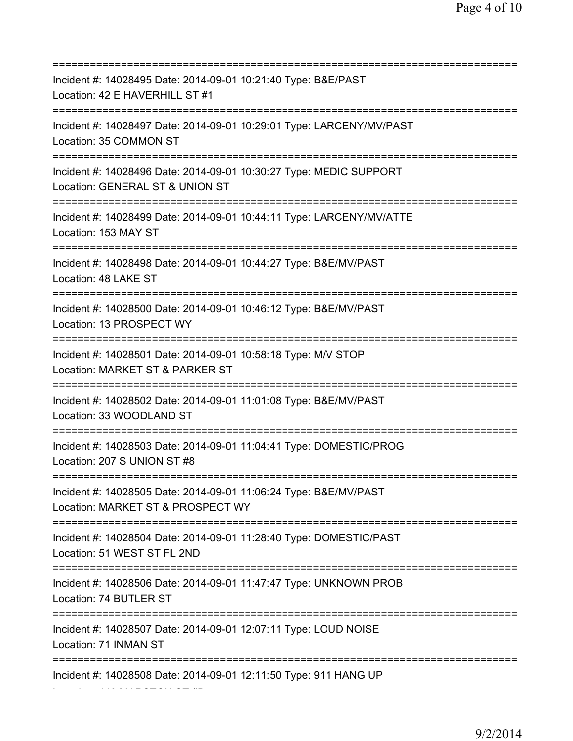=========================================================================== Incident #: 14028495 Date: 2014-09-01 10:21:40 Type: B&E/PAST Location: 42 E HAVERHILL ST #1 =========================================================================== Incident #: 14028497 Date: 2014-09-01 10:29:01 Type: LARCENY/MV/PAST Location: 35 COMMON ST =========================================================================== Incident #: 14028496 Date: 2014-09-01 10:30:27 Type: MEDIC SUPPORT Location: GENERAL ST & UNION ST =========================================================================== Incident #: 14028499 Date: 2014-09-01 10:44:11 Type: LARCENY/MV/ATTE Location: 153 MAY ST =========================================================================== Incident #: 14028498 Date: 2014-09-01 10:44:27 Type: B&E/MV/PAST Location: 48 LAKE ST =========================================================================== Incident #: 14028500 Date: 2014-09-01 10:46:12 Type: B&E/MV/PAST Location: 13 PROSPECT WY =========================================================================== Incident #: 14028501 Date: 2014-09-01 10:58:18 Type: M/V STOP Location: MARKET ST & PARKER ST =========================================================================== Incident #: 14028502 Date: 2014-09-01 11:01:08 Type: B&E/MV/PAST Location: 33 WOODLAND ST =========================================================================== Incident #: 14028503 Date: 2014-09-01 11:04:41 Type: DOMESTIC/PROG Location: 207 S UNION ST #8 =========================================================================== Incident #: 14028505 Date: 2014-09-01 11:06:24 Type: B&E/MV/PAST Location: MARKET ST & PROSPECT WY =========================================================================== Incident #: 14028504 Date: 2014-09-01 11:28:40 Type: DOMESTIC/PAST Location: 51 WEST ST FL 2ND =========================================================================== Incident #: 14028506 Date: 2014-09-01 11:47:47 Type: UNKNOWN PROB Location: 74 BUTLER ST =========================================================================== Incident #: 14028507 Date: 2014-09-01 12:07:11 Type: LOUD NOISE Location: 71 INMAN ST =========================================================================== Incident #: 14028508 Date: 2014-09-01 12:11:50 Type: 911 HANG UP Location: 118 MARSTON ST #D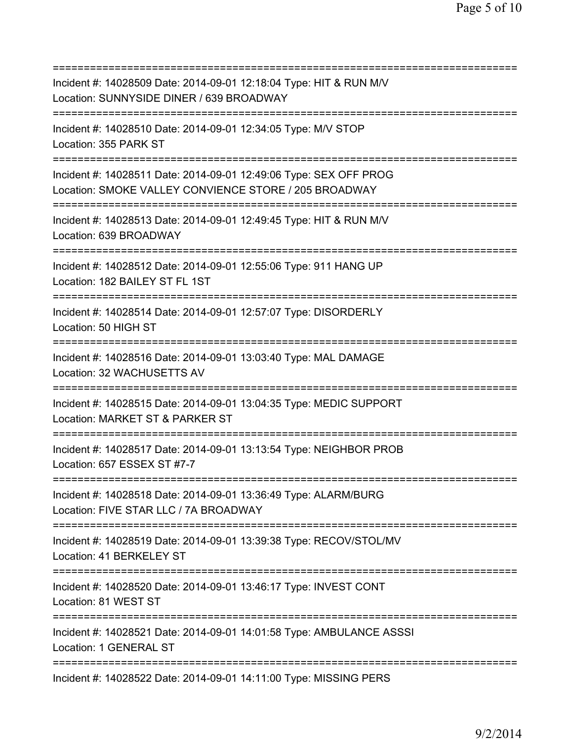| Incident #: 14028509 Date: 2014-09-01 12:18:04 Type: HIT & RUN M/V<br>Location: SUNNYSIDE DINER / 639 BROADWAY<br>============================ |
|------------------------------------------------------------------------------------------------------------------------------------------------|
| Incident #: 14028510 Date: 2014-09-01 12:34:05 Type: M/V STOP<br>Location: 355 PARK ST                                                         |
| Incident #: 14028511 Date: 2014-09-01 12:49:06 Type: SEX OFF PROG<br>Location: SMOKE VALLEY CONVIENCE STORE / 205 BROADWAY                     |
| Incident #: 14028513 Date: 2014-09-01 12:49:45 Type: HIT & RUN M/V<br>Location: 639 BROADWAY<br>=====================================          |
| Incident #: 14028512 Date: 2014-09-01 12:55:06 Type: 911 HANG UP<br>Location: 182 BAILEY ST FL 1ST<br>================================         |
| Incident #: 14028514 Date: 2014-09-01 12:57:07 Type: DISORDERLY<br>Location: 50 HIGH ST<br>---------------------                               |
| Incident #: 14028516 Date: 2014-09-01 13:03:40 Type: MAL DAMAGE<br>Location: 32 WACHUSETTS AV                                                  |
| Incident #: 14028515 Date: 2014-09-01 13:04:35 Type: MEDIC SUPPORT<br>Location: MARKET ST & PARKER ST<br>============                          |
| Incident #: 14028517 Date: 2014-09-01 13:13:54 Type: NEIGHBOR PROB<br>Location: 657 ESSEX ST #7-7                                              |
| Incident #: 14028518 Date: 2014-09-01 13:36:49 Type: ALARM/BURG<br>Location: FIVE STAR LLC / 7A BROADWAY                                       |
| Incident #: 14028519 Date: 2014-09-01 13:39:38 Type: RECOV/STOL/MV<br>Location: 41 BERKELEY ST                                                 |
| Incident #: 14028520 Date: 2014-09-01 13:46:17 Type: INVEST CONT<br>Location: 81 WEST ST                                                       |
| Incident #: 14028521 Date: 2014-09-01 14:01:58 Type: AMBULANCE ASSSI<br>Location: 1 GENERAL ST                                                 |
| Incident #: 14028522 Date: 2014-09-01 14:11:00 Type: MISSING PERS                                                                              |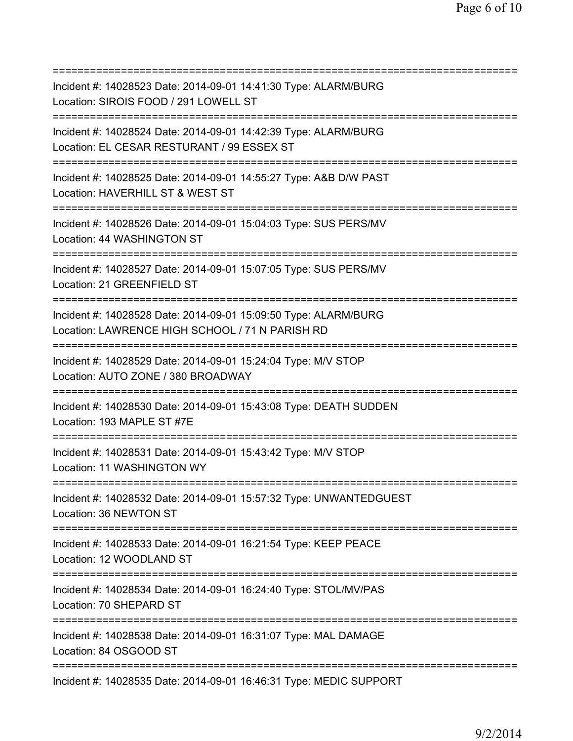| Incident #: 14028523 Date: 2014-09-01 14:41:30 Type: ALARM/BURG<br>Location: SIROIS FOOD / 291 LOWELL ST<br>============================                   |
|------------------------------------------------------------------------------------------------------------------------------------------------------------|
| Incident #: 14028524 Date: 2014-09-01 14:42:39 Type: ALARM/BURG<br>Location: EL CESAR RESTURANT / 99 ESSEX ST                                              |
| Incident #: 14028525 Date: 2014-09-01 14:55:27 Type: A&B D/W PAST<br>Location: HAVERHILL ST & WEST ST                                                      |
| Incident #: 14028526 Date: 2014-09-01 15:04:03 Type: SUS PERS/MV<br>Location: 44 WASHINGTON ST<br>====================================                     |
| Incident #: 14028527 Date: 2014-09-01 15:07:05 Type: SUS PERS/MV<br>Location: 21 GREENFIELD ST                                                             |
| Incident #: 14028528 Date: 2014-09-01 15:09:50 Type: ALARM/BURG<br>Location: LAWRENCE HIGH SCHOOL / 71 N PARISH RD<br>==================================== |
| Incident #: 14028529 Date: 2014-09-01 15:24:04 Type: M/V STOP<br>Location: AUTO ZONE / 380 BROADWAY                                                        |
| Incident #: 14028530 Date: 2014-09-01 15:43:08 Type: DEATH SUDDEN<br>Location: 193 MAPLE ST #7E                                                            |
| Incident #: 14028531 Date: 2014-09-01 15:43:42 Type: M/V STOP<br>Location: 11 WASHINGTON WY                                                                |
| Incident #: 14028532 Date: 2014-09-01 15:57:32 Type: UNWANTEDGUEST<br>Location: 36 NEWTON ST                                                               |
| Incident #: 14028533 Date: 2014-09-01 16:21:54 Type: KEEP PEACE<br>Location: 12 WOODLAND ST<br>:=======================                                    |
| Incident #: 14028534 Date: 2014-09-01 16:24:40 Type: STOL/MV/PAS<br>Location: 70 SHEPARD ST<br>===================================                         |
| Incident #: 14028538 Date: 2014-09-01 16:31:07 Type: MAL DAMAGE<br>Location: 84 OSGOOD ST                                                                  |
| Incident #: 14028535 Date: 2014-09-01 16:46:31 Type: MEDIC SUPPORT                                                                                         |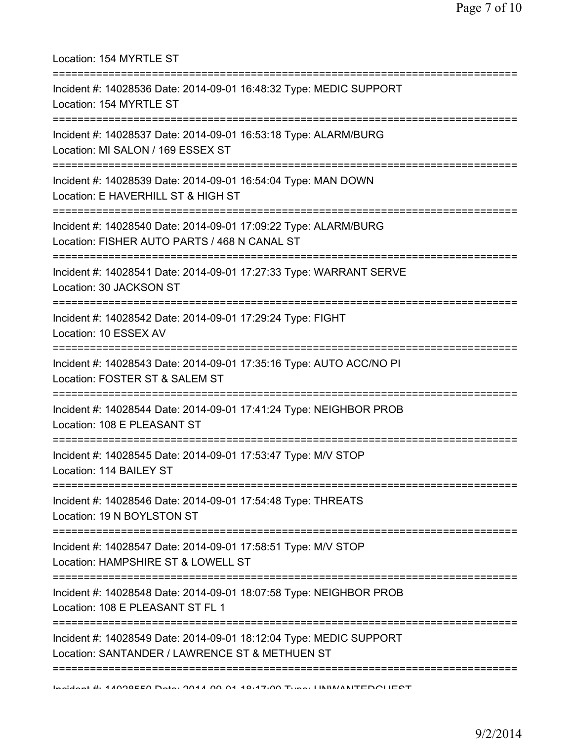| Location: 154 MYRTLE ST<br>=====================                                                                                                         |
|----------------------------------------------------------------------------------------------------------------------------------------------------------|
| Incident #: 14028536 Date: 2014-09-01 16:48:32 Type: MEDIC SUPPORT<br>Location: 154 MYRTLE ST                                                            |
| Incident #: 14028537 Date: 2014-09-01 16:53:18 Type: ALARM/BURG<br>Location: MI SALON / 169 ESSEX ST<br>--------------------------                       |
| Incident #: 14028539 Date: 2014-09-01 16:54:04 Type: MAN DOWN<br>Location: E HAVERHILL ST & HIGH ST                                                      |
| Incident #: 14028540 Date: 2014-09-01 17:09:22 Type: ALARM/BURG<br>Location: FISHER AUTO PARTS / 468 N CANAL ST                                          |
| Incident #: 14028541 Date: 2014-09-01 17:27:33 Type: WARRANT SERVE<br>Location: 30 JACKSON ST                                                            |
| Incident #: 14028542 Date: 2014-09-01 17:29:24 Type: FIGHT<br>Location: 10 ESSEX AV                                                                      |
| Incident #: 14028543 Date: 2014-09-01 17:35:16 Type: AUTO ACC/NO PI<br>Location: FOSTER ST & SALEM ST                                                    |
| Incident #: 14028544 Date: 2014-09-01 17:41:24 Type: NEIGHBOR PROB<br>Location: 108 E PLEASANT ST                                                        |
| Incident #: 14028545 Date: 2014-09-01 17:53:47 Type: M/V STOP<br>Location: 114 BAILEY ST                                                                 |
| ========================<br>Incident #: 14028546 Date: 2014-09-01 17:54:48 Type: THREATS<br>Location: 19 N BOYLSTON ST                                   |
| ==================<br>---------------------------<br>Incident #: 14028547 Date: 2014-09-01 17:58:51 Type: M/V STOP<br>Location: HAMPSHIRE ST & LOWELL ST |
| Incident #: 14028548 Date: 2014-09-01 18:07:58 Type: NEIGHBOR PROB<br>Location: 108 E PLEASANT ST FL 1                                                   |
| ============<br>Incident #: 14028549 Date: 2014-09-01 18:12:04 Type: MEDIC SUPPORT<br>Location: SANTANDER / LAWRENCE ST & METHUEN ST                     |
| Incident # 44000EE0 Data: 0044.00.04.40.47.00 Tune INNAIANTEDOLIECT                                                                                      |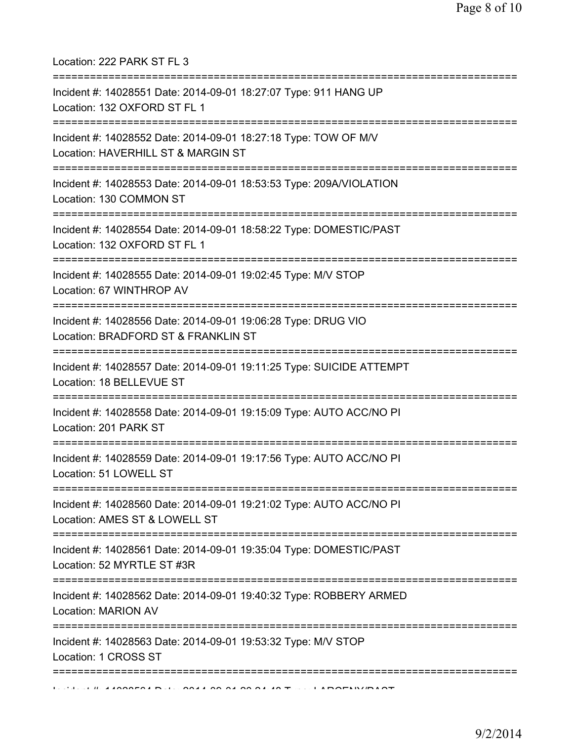Location: 222 PARK ST FL 3

| Incident #: 14028551 Date: 2014-09-01 18:27:07 Type: 911 HANG UP<br>Location: 132 OXFORD ST FL 1      |
|-------------------------------------------------------------------------------------------------------|
| Incident #: 14028552 Date: 2014-09-01 18:27:18 Type: TOW OF M/V<br>Location: HAVERHILL ST & MARGIN ST |
| Incident #: 14028553 Date: 2014-09-01 18:53:53 Type: 209A/VIOLATION<br>Location: 130 COMMON ST        |
| Incident #: 14028554 Date: 2014-09-01 18:58:22 Type: DOMESTIC/PAST<br>Location: 132 OXFORD ST FL 1    |
| Incident #: 14028555 Date: 2014-09-01 19:02:45 Type: M/V STOP<br>Location: 67 WINTHROP AV             |
| Incident #: 14028556 Date: 2014-09-01 19:06:28 Type: DRUG VIO<br>Location: BRADFORD ST & FRANKLIN ST  |
| Incident #: 14028557 Date: 2014-09-01 19:11:25 Type: SUICIDE ATTEMPT<br>Location: 18 BELLEVUE ST      |
| Incident #: 14028558 Date: 2014-09-01 19:15:09 Type: AUTO ACC/NO PI<br>Location: 201 PARK ST          |
| Incident #: 14028559 Date: 2014-09-01 19:17:56 Type: AUTO ACC/NO PI<br>Location: 51 LOWELL ST         |
| Incident #: 14028560 Date: 2014-09-01 19:21:02 Type: AUTO ACC/NO PI<br>Location: AMES ST & LOWELL ST  |
| Incident #: 14028561 Date: 2014-09-01 19:35:04 Type: DOMESTIC/PAST<br>Location: 52 MYRTLE ST #3R      |
| Incident #: 14028562 Date: 2014-09-01 19:40:32 Type: ROBBERY ARMED<br>Location: MARION AV             |
| Incident #: 14028563 Date: 2014-09-01 19:53:32 Type: M/V STOP<br>Location: 1 CROSS ST                 |
|                                                                                                       |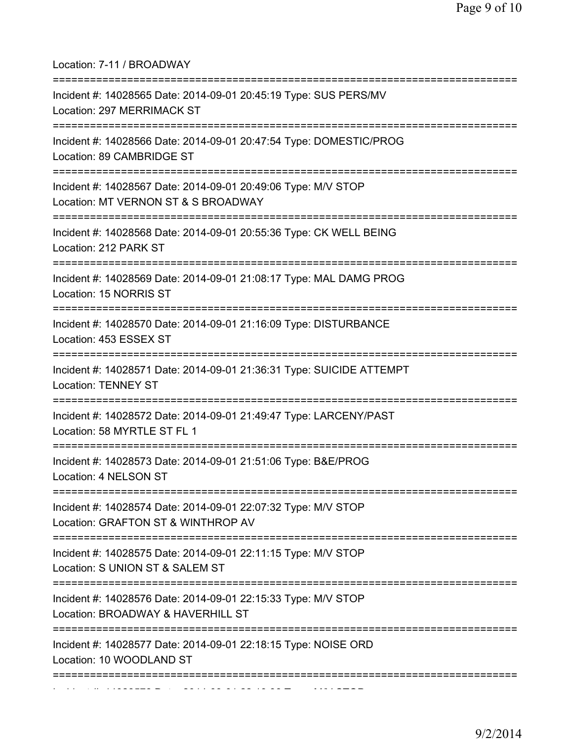Location: 7-11 / BROADWAY

| Incident #: 14028565 Date: 2014-09-01 20:45:19 Type: SUS PERS/MV<br>Location: 297 MERRIMACK ST       |
|------------------------------------------------------------------------------------------------------|
| Incident #: 14028566 Date: 2014-09-01 20:47:54 Type: DOMESTIC/PROG<br>Location: 89 CAMBRIDGE ST      |
| Incident #: 14028567 Date: 2014-09-01 20:49:06 Type: M/V STOP<br>Location: MT VERNON ST & S BROADWAY |
| Incident #: 14028568 Date: 2014-09-01 20:55:36 Type: CK WELL BEING<br>Location: 212 PARK ST          |
| Incident #: 14028569 Date: 2014-09-01 21:08:17 Type: MAL DAMG PROG<br>Location: 15 NORRIS ST         |
| Incident #: 14028570 Date: 2014-09-01 21:16:09 Type: DISTURBANCE<br>Location: 453 ESSEX ST           |
| Incident #: 14028571 Date: 2014-09-01 21:36:31 Type: SUICIDE ATTEMPT<br><b>Location: TENNEY ST</b>   |
| Incident #: 14028572 Date: 2014-09-01 21:49:47 Type: LARCENY/PAST<br>Location: 58 MYRTLE ST FL 1     |
| Incident #: 14028573 Date: 2014-09-01 21:51:06 Type: B&E/PROG<br>Location: 4 NELSON ST               |
| Incident #: 14028574 Date: 2014-09-01 22:07:32 Type: M/V STOP<br>Location: GRAFTON ST & WINTHROP AV  |
| Incident #: 14028575 Date: 2014-09-01 22:11:15 Type: M/V STOP<br>Location: S UNION ST & SALEM ST     |
| Incident #: 14028576 Date: 2014-09-01 22:15:33 Type: M/V STOP<br>Location: BROADWAY & HAVERHILL ST   |
| Incident #: 14028577 Date: 2014-09-01 22:18:15 Type: NOISE ORD<br>Location: 10 WOODLAND ST           |
|                                                                                                      |